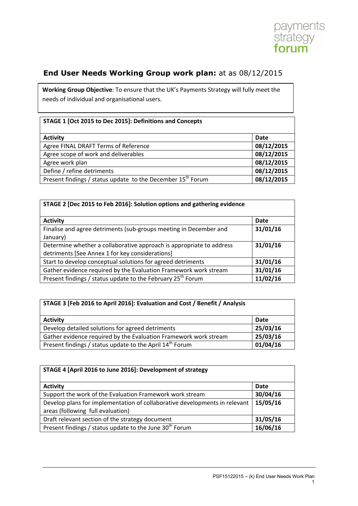

## **End User Needs Working Group work plan:** at as 08/12/2015

**Working Group Objective**: To ensure that the UK's Payments Strategy will fully meet the needs of individual and organisational users.

## **STAGE 1 [Oct 2015 to Dec 2015]: Definitions and Concepts**

| <b>Activity</b>                                                         | Date       |
|-------------------------------------------------------------------------|------------|
| Agree FINAL DRAFT Terms of Reference                                    | 08/12/2015 |
| Agree scope of work and deliverables                                    | 08/12/2015 |
| Agree work plan                                                         | 08/12/2015 |
| Define / refine detriments                                              | 08/12/2015 |
| Present findings / status update to the December 15 <sup>th</sup> Forum | 08/12/2015 |

| STAGE 2 [Dec 2015 to Feb 2016]: Solution options and gathering evidence |             |
|-------------------------------------------------------------------------|-------------|
| <b>Activity</b>                                                         | <b>Date</b> |
| Finalise and agree detriments (sub-groups meeting in December and       | 31/01/16    |
| January)                                                                |             |
| Determine whether a collaborative approach is appropriate to address    | 31/01/16    |
| detriments [See Annex 1 for key considerations]                         |             |
| Start to develop conceptual solutions for agreed detriments             | 31/01/16    |
| Gather evidence required by the Evaluation Framework work stream        | 31/01/16    |
| Present findings / status update to the February 25 <sup>th</sup> Forum | 11/02/16    |

| STAGE 3 [Feb 2016 to April 2016]: Evaluation and Cost / Benefit / Analysis |          |
|----------------------------------------------------------------------------|----------|
| <b>Activity</b>                                                            | Date     |
| Develop detailed solutions for agreed detriments                           | 25/03/16 |
| Gather evidence required by the Evaluation Framework work stream           | 25/03/16 |
| Present findings / status update to the April 14 <sup>th</sup> Forum       | 01/04/16 |

| STAGE 4 [April 2016 to June 2016]: Development of strategy                 |             |
|----------------------------------------------------------------------------|-------------|
| <b>Activity</b>                                                            | <b>Date</b> |
| Support the work of the Evaluation Framework work stream                   | 30/04/16    |
| Develop plans for implementation of collaborative developments in relevant | 15/05/16    |
| areas (following full evaluation)                                          |             |
| Draft relevant section of the strategy document                            | 31/05/16    |
| Present findings / status update to the June 30 <sup>th</sup> Forum        | 16/06/16    |